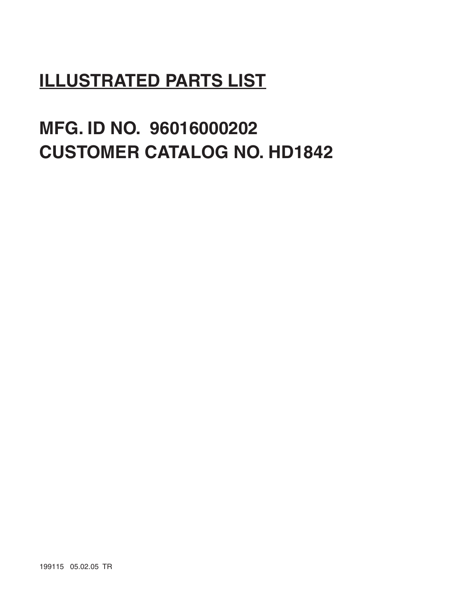# **ILLUSTRATED PARTS LIST**

# **MFG. ID NO. 96016000202 CUSTOMER CATALOG NO. HD1842**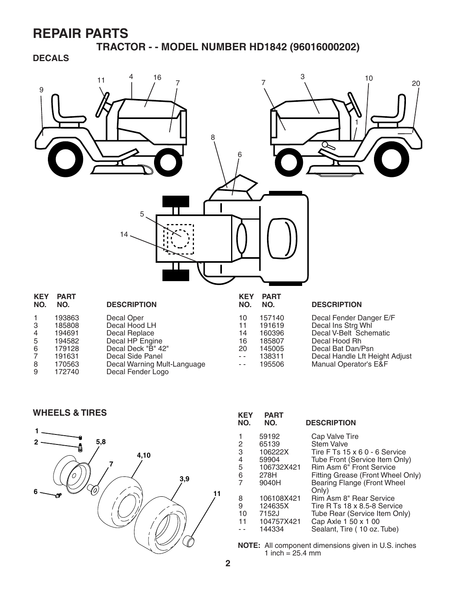**TRACTOR - - MODEL NUMBER HD1842 (96016000202)**

**DECALS**



WHEELS & TIRES *KEY PART* 



| KEY<br>NO. | PAR I<br>NO. | <b>DESCRIPTION</b>                |
|------------|--------------|-----------------------------------|
|            | 59192        | Cap Valve Tire                    |
| 2          | 65139        | <b>Stem Valve</b>                 |
| 3          | 106222X      | Tire F Ts 15 x 6 0 - 6 Service    |
| 4          | 59904        | Tube Front (Service Item Only)    |
| 5          | 106732X421   | Rim Asm 6" Front Service          |
| 6          | 278H         | Fitting Grease (Front Wheel Only) |
|            | 9040H        | Bearing Flange (Front Wheel       |
|            |              | Only)                             |
| 8          | 106108X421   | Rim Asm 8" Rear Service           |
| 9          | 124635X      | Tire R Ts 18 x 8.5-8 Service      |
| 10         | 7152J        | Tube Rear (Service Item Only)     |
| 11         | 104757X421   | Cap Axle 1 50 x 1 00              |
|            | 144334       | Sealant, Tire (10 oz. Tube)       |
|            |              |                                   |

**NOTE:** All component dimensions given in U.S. inches 1 inch =  $25.4 \, \text{mm}$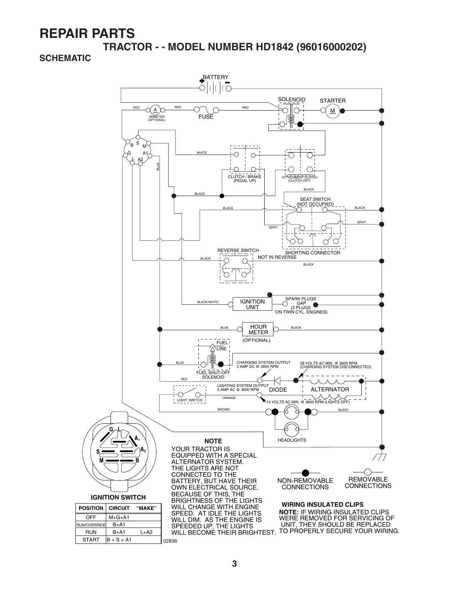**TRACTOR - - MODEL NUMBER HD1842 (96016000202)**

#### **SCHEMATIC**

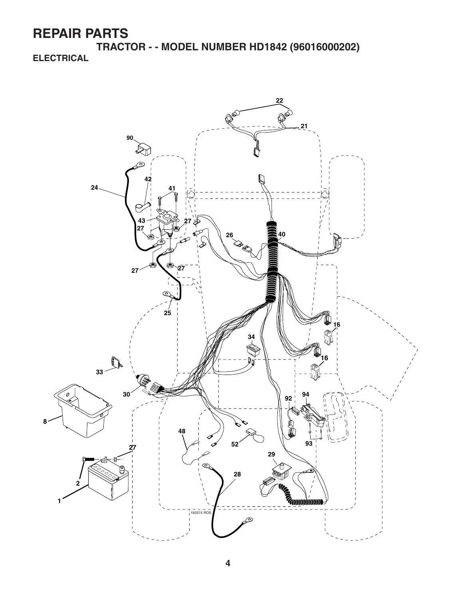**TRACTOR - - MODEL NUMBER HD1842 (96016000202) ELECTRICAL**

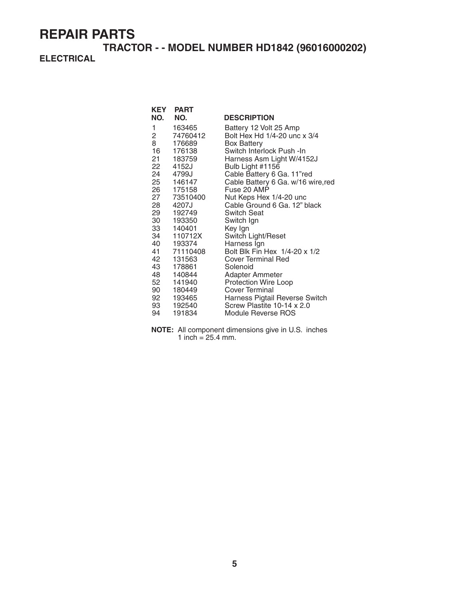## **TRACTOR - - MODEL NUMBER HD1842 (96016000202)**

## **ELECTRICAL**

| KEY               | <b>PART</b> |                                    |
|-------------------|-------------|------------------------------------|
| NO.               | NO.         | <b>DESCRIPTION</b>                 |
| 1                 | 163465      | Battery 12 Volt 25 Amp             |
| $2 \qquad \qquad$ | 74760412    | Bolt Hex Hd 1/4-20 unc x 3/4       |
| 8                 | 176689      | <b>Box Battery</b>                 |
|                   | 16 176138   | Switch Interlock Push -In          |
| 21 —              | 183759      | Harness Asm Light W/4152J          |
| 22                | 4152J       | Bulb Light #1156                   |
|                   | 24 4799J    | Cable Battery 6 Ga. 11"red         |
|                   | 25 146147   | Cable Battery 6 Ga. w/16 wire, red |
|                   | 26 175158   | Fuse 20 AMP                        |
|                   | 27 73510400 | Nut Keps Hex 1/4-20 unc            |
| 28                | 4207J       | Cable Ground 6 Ga. 12" black       |
|                   | 29 192749   | <b>Switch Seat</b>                 |
| 30 —              | 193350      | Switch Ign                         |
|                   | 33 140401   | Key Ign                            |
|                   | 34 110712X  | Switch Light/Reset                 |
|                   | 40 193374   | Harness Ign                        |
|                   | 41 71110408 | Bolt Blk Fin Hex 1/4-20 x 1/2      |
|                   | 42 131563   | Cover Terminal Red                 |
|                   | 43 178861   | Solenoid                           |
|                   | 48 140844   | Adapter Ammeter                    |
| 52                | 141940      | <b>Protection Wire Loop</b>        |
|                   | 90 180449   | Cover Terminal                     |
|                   | 92 193465   | Harness Pigtail Reverse Switch     |
|                   | 93 192540   | Screw Plastite 10-14 x 2.0         |
| 94                | 191834      | Module Reverse ROS                 |

**NOTE:** All component dimensions give in U.S. inches 1 inch =  $25.4$  mm.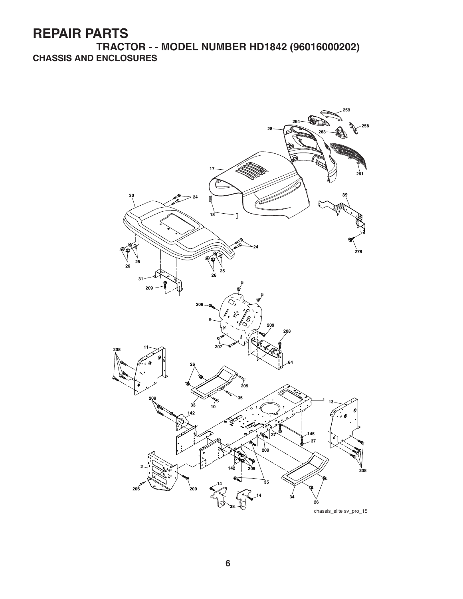**TRACTOR - - MODEL NUMBER HD1842 (96016000202) CHASSIS AND ENCLOSURES**

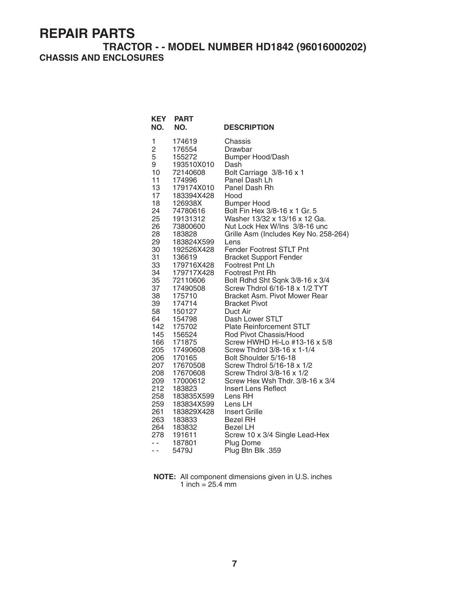## **TRACTOR - - MODEL NUMBER HD1842 (96016000202) CHASSIS AND ENCLOSURES**

| <b>KEY</b><br>NO. | <b>PART</b><br>NO. | <b>DESCRIPTION</b>                    |
|-------------------|--------------------|---------------------------------------|
| 1                 | 174619             | Chassis                               |
| $\overline{c}$    | 176554             | Drawbar                               |
| 5                 | 155272             | <b>Bumper Hood/Dash</b>               |
| 9                 | 193510X010         | Dash                                  |
| 10                | 72140608           | Bolt Carriage 3/8-16 x 1              |
| 11                | 174996             | Panel Dash Lh                         |
| 13                | 179174X010         | Panel Dash Rh                         |
| 17                | 183394X428         | Hood                                  |
| 18                | 126938X            | <b>Bumper Hood</b>                    |
| 24                | 74780616           | Bolt Fin Hex 3/8-16 x 1 Gr. 5         |
| 25                | 19131312           | Washer 13/32 x 13/16 x 12 Ga.         |
| 26                | 73800600           | Nut Lock Hex W/Ins 3/8-16 unc         |
| 28                | 183828             | Grille Asm (Includes Key No. 258-264) |
| 29                | 183824X599         | Lens                                  |
| 30                | 192526X428         | <b>Fender Footrest STLT Pnt</b>       |
| 31                | 136619             | <b>Bracket Support Fender</b>         |
| 33                | 179716X428         | Footrest Pnt Lh                       |
| 34                | 179717X428         | <b>Footrest Pnt Rh</b>                |
| 35                | 72110606           | Bolt Rdhd Sht Sqnk 3/8-16 x 3/4       |
| 37                | 17490508           | Screw Thdrol 6/16-18 x 1/2 TYT        |
| 38                | 175710             | Bracket Asm. Pivot Mower Rear         |
| 39                | 174714             | <b>Bracket Pivot</b>                  |
| 58                | 150127             | Duct Air                              |
| 64                | 154798             | Dash Lower STLT                       |
| 142               | 175702             | <b>Plate Reinforcement STLT</b>       |
| 145               | 156524             | Rod Pivot Chassis/Hood                |
| 166               | 171875             | Screw HWHD Hi-Lo #13-16 x 5/8         |
| 205               | 17490608           | Screw Thdrol 3/8-16 x 1-1/4           |
| 206               | 170165             | Bolt Shoulder 5/16-18                 |
| 207               | 17670508           | Screw Thdrol 5/16-18 x 1/2            |
| 208               | 17670608           | Screw Thdrol 3/8-16 x 1/2             |
| 209               | 17000612           | Screw Hex Wsh Thdr. 3/8-16 x 3/4      |
| 212               | 183823             | Insert Lens Reflect                   |
| 258               | 183835X599         | Lens RH                               |
| 259               | 183834X599         | Lens LH                               |
| 261               | 183829X428         | <b>Insert Grille</b>                  |
| 263               | 183833             | Bezel RH                              |
| 264               | 183832             | Bezel LH                              |
| 278               | 191611             | Screw 10 x 3/4 Single Lead-Hex        |
| $ -$              | 187801             | Plug Dome                             |
| - -               | 5479J              | Plug Btn Blk .359                     |

**NOTE:** All component dimensions given in U.S. inches 1 inch  $= 25.4$  mm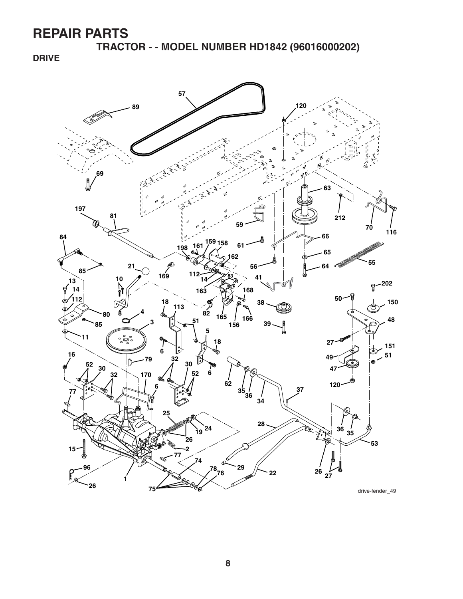**TRACTOR - - MODEL NUMBER HD1842 (96016000202)**

**DRIVE**

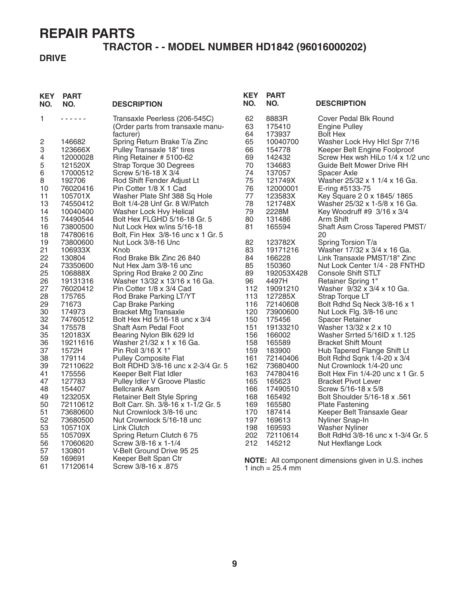## **TRACTOR - - MODEL NUMBER HD1842 (96016000202)**

#### **DRIVE**

| <b>KEY</b><br>NO. | <b>PART</b><br>NO.   | <b>DESCRIPTION</b>                                                              | <b>KEY</b><br>NO. | <b>PART</b><br>NO.        | <b>DESCRIPTION</b>                                               |
|-------------------|----------------------|---------------------------------------------------------------------------------|-------------------|---------------------------|------------------------------------------------------------------|
| 1                 | .                    | Transaxle Peerless (206-545C)<br>(Order parts from transaxle manu-<br>facturer) | 62<br>63<br>64    | 8883R<br>175410<br>173937 | Cover Pedal Blk Round<br><b>Engine Pulley</b><br><b>Bolt Hex</b> |
| 2<br>3            | 146682<br>123666X    | Spring Return Brake T/a Zinc<br>Pulley Transaxle 18" tires                      | 65<br>66          | 10040700<br>154778        | Washer Lock Hvy Hlcl Spr 7/16<br>Keeper Belt Engine Foolproof    |
| 4<br>5            | 12000028<br>121520X  | Ring Retainer # 5100-62                                                         | 69<br>70          | 142432<br>134683          | Screw Hex wsh HiLo 1/4 x 1/2 unc<br>Guide Belt Mower Drive RH    |
| 6                 | 17000512             | Strap Torque 30 Degrees<br>Screw 5/16-18 X 3/4                                  | 74                | 137057                    | Spacer Axle                                                      |
| 8                 | 192706               | Rod Shift Fender Adjust Lt                                                      | 75                | 121749X                   | Washer 25/32 x 1 1/4 x 16 Ga.                                    |
| 10<br>11          | 76020416<br>105701X  | Pin Cotter 1/8 X 1 Cad<br>Washer Plate Shf 388 Sq Hole                          | 76<br>77          | 12000001<br>123583X       | E-ring #5133-75<br>Key Square 2 0 x 1845/1865                    |
| 13                | 74550412             | Bolt 1/4-28 Unf Gr. 8 W/Patch                                                   | 78                | 121748X                   | Washer 25/32 x 1-5/8 x 16 Ga.                                    |
| 14                | 10040400             | Washer Lock Hvy Helical                                                         | 79                | 2228M                     | Key Woodruff #9 3/16 x 3/4                                       |
| 15                | 74490544             | Bolt Hex FLGHD 5/16-18 Gr. 5                                                    | 80                | 131486                    | Arm Shift                                                        |
| 16<br>18          | 73800500<br>74780616 | Nut Lock Hex w/ins 5/16-18<br>Bolt, Fin Hex 3/8-16 unc x 1 Gr. 5                | 81                | 165594                    | Shaft Asm Cross Tapered PMST/<br>20                              |
| 19                | 73800600             | Nut Lock 3/8-16 Unc                                                             | 82                | 123782X                   | Spring Torsion T/a                                               |
| 21<br>22          | 106933X              | Knob                                                                            | 83<br>84          | 19171216                  | Washer 17/32 x 3/4 x 16 Ga.<br>Link Transaxle PMST/18" Zinc      |
| 24                | 130804<br>73350600   | Rod Brake Blk Zinc 26 840<br>Nut Hex Jam 3/8-16 unc                             | 85                | 166228<br>150360          | Nut Lock Center 1/4 - 28 FNTHD                                   |
| 25                | 106888X              | Spring Rod Brake 2 00 Zinc                                                      | 89                | 192053X428                | <b>Console Shift STLT</b>                                        |
| 26                | 19131316             | Washer 13/32 x 13/16 x 16 Ga.                                                   | 96                | 4497H                     | <b>Retainer Spring 1"</b>                                        |
| 27<br>28          | 76020412<br>175765   | Pin Cotter 1/8 x 3/4 Cad<br>Rod Brake Parking LT/YT                             | 112<br>113        | 19091210<br>127285X       | Washer 9/32 x 3/4 x 10 Ga.<br>Strap Torque LT                    |
| 29                | 71673                | Cap Brake Parking                                                               | 116               | 72140608                  | Bolt Rdhd Sq Neck 3/8-16 x 1                                     |
| 30                | 174973               | <b>Bracket Mtg Transaxle</b>                                                    | 120               | 73900600                  | Nut Lock Flg. 3/8-16 unc                                         |
| 32                | 74760512             | Bolt Hex Hd 5/16-18 unc x 3/4                                                   | 150               | 175456                    | Spacer Retainer                                                  |
| 34<br>35          | 175578<br>120183X    | Shaft Asm Pedal Foot<br>Bearing Nylon Blk 629 Id                                | 151<br>156        | 19133210<br>166002        | Washer 13/32 x 2 x 10<br>Washer Srrted 5/16ID x 1.125            |
| 36                | 19211616             | Washer 21/32 x 1 x 16 Ga.                                                       | 158               | 165589                    | <b>Bracket Shift Mount</b>                                       |
| 37                | 1572H                | Pin Roll 3/16 X 1"                                                              | 159               | 183900                    | Hub Tapered Flange Shift Lt                                      |
| 38                | 179114               | <b>Pulley Composite Flat</b>                                                    | 161               | 72140406                  | Bolt Rdhd Sqnk 1/4-20 x 3/4                                      |
| 39                | 72110622             | Bolt RDHD 3/8-16 unc x 2-3/4 Gr. 5                                              | 162               | 73680400                  | Nut Crownlock 1/4-20 unc                                         |
| 41<br>47          | 175556<br>127783     | Keeper Belt Flat Idler<br>Pulley Idler V Groove Plastic                         | 163<br>165        | 74780416<br>165623        | Bolt Hex Fin 1/4-20 unc x 1 Gr. 5<br><b>Bracket Pivot Lever</b>  |
| 48                | 154407               | <b>Bellcrank Asm</b>                                                            | 166               | 17490510                  | Screw 5/16-18 x 5/8                                              |
| 49                | 123205X              | Retainer Belt Style Spring                                                      | 168               | 165492                    | 561. Bolt Shoulder 5/16-18 x                                     |
| 50                | 72110612             | Bolt Carr. Sh. 3/8-16 x 1-1/2 Gr. 5                                             | 169               | 165580                    | Plate Fastening                                                  |
| 51<br>52          | 73680600<br>73680500 | Nut Crownlock 3/8-16 unc<br>Nut Crownlock 5/16-18 unc                           | 170<br>197        | 187414<br>169613          | Keeper Belt Transaxle Gear<br>Nyliner Snap-In                    |
| 53                | 105710X              | Link Clutch                                                                     | 198               | 169593                    | <b>Washer Nyliner</b>                                            |
| 55                | 105709X              | Spring Return Clutch 6 75                                                       | 202               | 72110614                  | Bolt RdHd 3/8-16 unc x 1-3/4 Gr. 5                               |
| 56                | 17060620             | Screw 3/8-16 x 1-1/4                                                            | 212               | 145212                    | Nut Hexflange Lock                                               |
| 57<br>59          | 130801<br>169691     | V-Belt Ground Drive 95 25<br>Keeper Belt Span Ctr                               |                   |                           |                                                                  |
| 61                | 17120614             | Screw 3/8-16 x .875                                                             |                   | 1 inch = $25.4$ mm        | NOTE: All component dimensions given in U.S. inches              |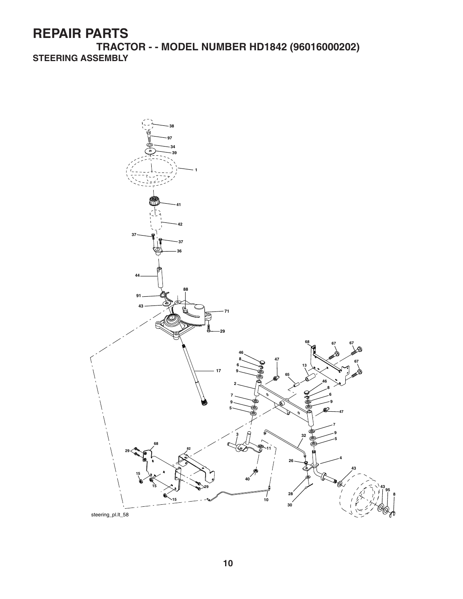**TRACTOR - - MODEL NUMBER HD1842 (96016000202) STEERING ASSEMBLY**

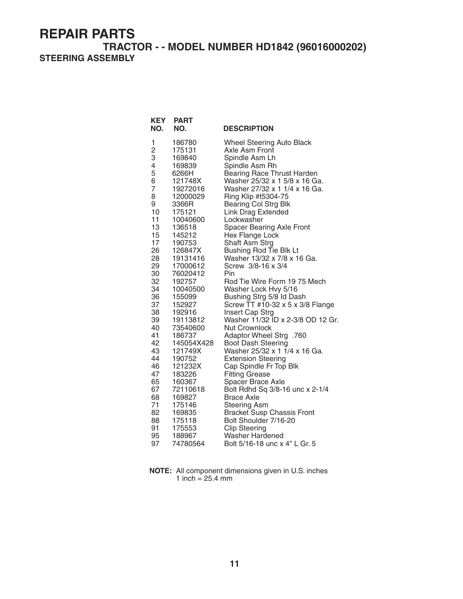#### **TRACTOR - - MODEL NUMBER HD1842 (96016000202) STEERING ASSEMBLY**

| <b>KEY</b><br>NO. | <b>PART</b><br>NO. | <b>DESCRIPTION</b>                                        |
|-------------------|--------------------|-----------------------------------------------------------|
| 1                 | 186780             | <b>Wheel Steering Auto Black</b>                          |
| $\overline{c}$    | 175131             | Axle Asm Front                                            |
| 3                 | 169840             | Spindle Asm Lh                                            |
| 4                 | 169839             | Spindle Asm Rh                                            |
| 5                 | 6266H              | <b>Bearing Race Thrust Harden</b>                         |
| 6                 | 121748X            | Washer 25/32 x 1 5/8 x 16 Ga.                             |
| 7                 | 19272016           | Washer 27/32 x 1 1/4 x 16 Ga.                             |
| 8<br>9            | 12000029<br>3366R  | Ring Klip #t5304-75<br><b>Bearing Col Strg Blk</b>        |
| 10                | 175121             | <b>Link Drag Extended</b>                                 |
| 11                | 10040600           | Lockwasher                                                |
| 13                | 136518             | Spacer Bearing Axle Front                                 |
| 15                | 145212             | Hex Flange Lock                                           |
| 17                | 190753             | Shaft Asm Strg                                            |
| 26                | 126847X            | Bushing Rod Tie Blk Lt                                    |
| 28                | 19131416           | Washer 13/32 x 7/8 x 16 Ga.                               |
| 29                | 17000612           | Screw 3/8-16 x 3/4                                        |
| 30                | 76020412           | Pin                                                       |
| 32                | 192757             | Rod Tie Wire Form 19 75 Mech                              |
| 34                | 10040500           | Washer Lock Hvy 5/16                                      |
| 36                | 155099             | Bushing Strg 5/8 Id Dash                                  |
| 37                | 152927             | Screw TT #10-32 x 5 x 3/8 Flange                          |
| 38                | 192916             | Insert Cap Strg                                           |
| 39<br>40          | 19113812           | Washer 11/32 ID x 2-3/8 OD 12 Gr.<br><b>Nut Crownlock</b> |
| 41                | 73540600<br>186737 | Adaptor Wheel Strg .760                                   |
| 42                | 145054X428         | <b>Boot Dash Steering</b>                                 |
| 43                | 121749X            | Washer 25/32 x 1 1/4 x 16 Ga.                             |
| 44                | 190752             | <b>Extension Steering</b>                                 |
| 46                | 121232X            | Cap Spindle Fr Top Blk                                    |
| 47                | 183226             | <b>Fitting Grease</b>                                     |
| 65                | 160367             | Spacer Brace Axle                                         |
| 67                | 72110618           | Bolt Rdhd Sq 3/8-16 unc x 2-1/4                           |
| 68                | 169827             | <b>Brace Axle</b>                                         |
| 71                | 175146             | <b>Steering Asm</b>                                       |
| 82                | 169835             | <b>Bracket Susp Chassis Front</b>                         |
| 88                | 175118             | Bolt Shoulder 7/16-20                                     |
| 91                | 175553             | <b>Clip Steering</b>                                      |
| 95                | 188967             | <b>Washer Hardened</b>                                    |
| 97                | 74780564           | Bolt 5/16-18 unc x 4" L Gr. 5                             |

**NOTE:** All component dimensions given in U.S. inches 1 inch  $= 25.4$  mm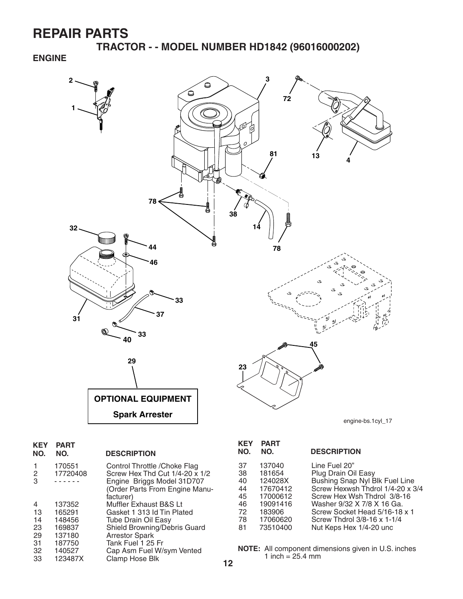**TRACTOR - - MODEL NUMBER HD1842 (96016000202)**

### **ENGINE**



| <b>KEY</b><br>NO. | <b>PART</b><br>NO. | <b>DESCRIPTION</b>             |
|-------------------|--------------------|--------------------------------|
| 1                 | 170551             | Control Throttle / Choke Flag  |
| 2                 | 17720408           | Screw Hex Thd Cut 1/4-20 x 1/2 |
| 3                 |                    | Engine Briggs Model 31D707     |
|                   |                    | (Order Parts From Engine Manu- |
|                   |                    | facturer)                      |
| 4                 | 137352             | Muffler Exhaust B&S Lt         |
| 13                | 165291             | Gasket 1 313 Id Tin Plated     |
| 14                | 148456             | Tube Drain Oil Easy            |
| 23                | 169837             | Shield Browning/Debris Guard   |
| 29                | 137180             | <b>Arrestor Spark</b>          |
| 31                | 187750             | Tank Fuel 1 25 Fr              |
| 32                | 140527             | Cap Asm Fuel W/sym Vented      |
| 33                | 123487X            | Clamp Hose Blk                 |
|                   |                    |                                |

| <b>KEY</b><br>NO.                                  | <b>PART</b><br>NO.                                                                                | <b>DESCRIPTION</b>                                                                                                                                                                                                                                                 |
|----------------------------------------------------|---------------------------------------------------------------------------------------------------|--------------------------------------------------------------------------------------------------------------------------------------------------------------------------------------------------------------------------------------------------------------------|
| 37<br>38<br>40<br>44<br>45<br>46<br>72<br>78<br>81 | 137040<br>181654<br>124028X<br>17670412<br>17000612<br>19091416<br>183906<br>17060620<br>73510400 | Line Fuel 20"<br>Plug Drain Oil Easy<br>Bushing Snap Nyl Blk Fuel Line<br>Screw Hexwsh Thdrol 1/4-20 x 3/4<br>Screw Hex Wsh Thdrol 3/8-16<br>Washer 9/32 X 7/8 X 16 Ga.<br>Screw Socket Head 5/16-18 x 1<br>Screw Thdrol 3/8-16 x 1-1/4<br>Nut Keps Hex 1/4-20 unc |
|                                                    |                                                                                                   |                                                                                                                                                                                                                                                                    |

**NOTE:** All component dimensions given in U.S. inches 1 inch =  $25.4 \, \text{mm}$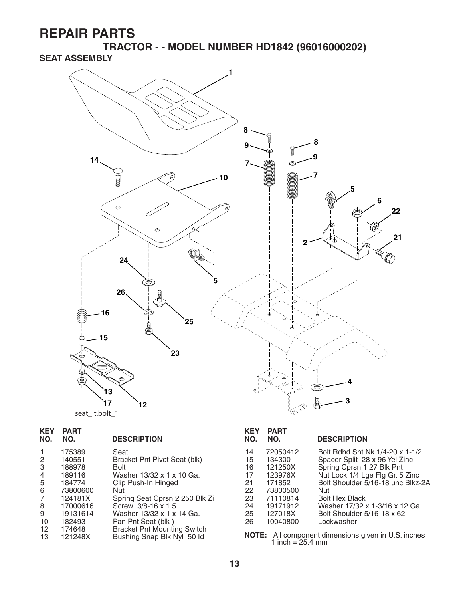**TRACTOR - - MODEL NUMBER HD1842 (96016000202) SEAT ASSEMBLY**



| <b>KEY</b><br>NO.                          | <b>PART</b><br>NO.                                                                                      | <b>DESCRIPTION</b>                                                                                                                                                                                                 |
|--------------------------------------------|---------------------------------------------------------------------------------------------------------|--------------------------------------------------------------------------------------------------------------------------------------------------------------------------------------------------------------------|
| 2<br>3<br>4<br>5<br>6<br>7<br>8<br>9<br>10 | 175389<br>140551<br>188978<br>189116<br>184774<br>73800600<br>124181X<br>17000616<br>19131614<br>182493 | Seat<br>Bracket Pnt Pivot Seat (blk)<br>Bolt<br>Washer 13/32 x 1 x 10 Ga.<br>Clip Push-In Hinged<br>Nut<br>Spring Seat Cprsn 2 250 Blk Zi<br>Screw 3/8-16 x 1.5<br>Washer 13/32 x 1 x 14 Ga.<br>Pan Pnt Seat (blk) |
| 12<br>13                                   | 174648<br>121248X                                                                                       | <b>Bracket Pnt Mounting Switch</b><br>Bushing Snap Blk Nyl 50 ld                                                                                                                                                   |

| <b>KEY</b><br>NO.                                        | <b>PART</b><br>NO.                                                                                            | <b>DESCRIPTION</b>                                                                                                                                                                                                                                                                  |
|----------------------------------------------------------|---------------------------------------------------------------------------------------------------------------|-------------------------------------------------------------------------------------------------------------------------------------------------------------------------------------------------------------------------------------------------------------------------------------|
| 14<br>15<br>16<br>17<br>21<br>22<br>23<br>24<br>25<br>26 | 72050412<br>134300<br>121250X<br>123976X<br>171852<br>73800500<br>71110814<br>19171912<br>127018X<br>10040800 | Bolt Rdhd Sht Nk 1/4-20 x 1-1/2<br>Spacer Split 28 x 96 Yel Zinc<br>Spring Cprsn 1 27 Blk Pnt<br>Nut Lock 1/4 Lge Flg Gr. 5 Zinc<br>Bolt Shoulder 5/16-18 unc Blkz-2A<br>Nut<br><b>Bolt Hex Black</b><br>Washer 17/32 x 1-3/16 x 12 Ga.<br>Bolt Shoulder 5/16-18 x 62<br>Lockwasher |
| NOTE.                                                    |                                                                                                               | All component dimonsions given in LLS inshes                                                                                                                                                                                                                                        |

13 121248X Bushing Snap Blk Nyl 50 Id **NOTE:** All component dimensions given in U.S. inches 1 inch = 25.4 mm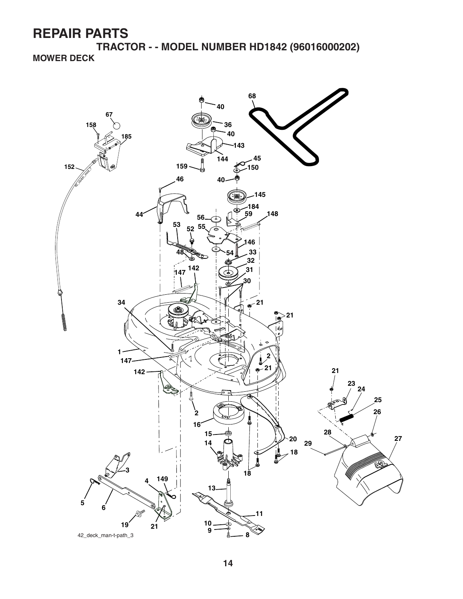**TRACTOR - - MODEL NUMBER HD1842 (96016000202) MOWER DECK**

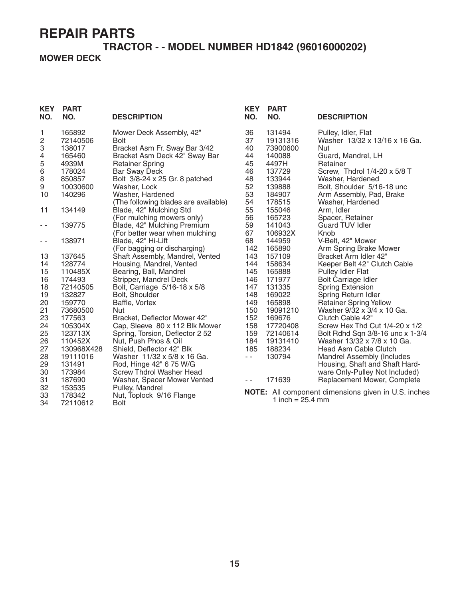## **TRACTOR - - MODEL NUMBER HD1842 (96016000202) MOWER DECK**

| <b>KEY</b><br>NO.       | <b>PART</b><br>NO. | <b>DESCRIPTION</b>                                          | <b>KEY</b><br>NO. | <b>PART</b><br>NO.         | <b>DESCRIPTION</b>                                         |
|-------------------------|--------------------|-------------------------------------------------------------|-------------------|----------------------------|------------------------------------------------------------|
| 1                       | 165892             | Mower Deck Assembly, 42"                                    | 36                | 131494                     | Pulley, Idler, Flat                                        |
| $\overline{\mathbf{c}}$ | 72140506           | <b>Bolt</b>                                                 | 37                | 19131316                   | Washer 13/32 x 13/16 x 16 Ga.                              |
| 3                       | 138017             | Bracket Asm Fr. Sway Bar 3/42                               | 40                | 73900600                   | Nut                                                        |
| 4                       | 165460             | Bracket Asm Deck 42" Sway Bar                               | 44                | 140088                     | Guard, Mandrel, LH                                         |
| 5                       | 4939M              | <b>Retainer Spring</b>                                      | 45                | 4497H                      | Retainer                                                   |
| 6                       | 178024             | <b>Bar Sway Deck</b>                                        | 46                | 137729                     | Screw, Thdrol 1/4-20 x 5/8 T                               |
| 8                       | 850857             | Bolt 3/8-24 x 25 Gr. 8 patched                              | 48                | 133944                     | Washer, Hardened                                           |
| 9                       | 10030600           | Washer, Lock                                                | 52                | 139888                     | Bolt, Shoulder 5/16-18 unc                                 |
| 10                      | 140296             | Washer, Hardened                                            | 53                | 184907                     | Arm Assembly, Pad, Brake                                   |
|                         |                    | (The following blades are available)                        | 54                | 178515                     | Washer, Hardened                                           |
| 11                      | 134149             | Blade, 42" Mulching Std                                     | 55                | 155046                     | Arm, Idler                                                 |
|                         |                    | (For mulching mowers only)                                  | 56                | 165723                     | Spacer, Retainer                                           |
| $\sim$ $\sim$           | 139775             | Blade, 42" Mulching Premium                                 | 59                | 141043                     | <b>Guard TUV Idler</b>                                     |
|                         | 138971             | (For better wear when mulching                              | 67<br>68          | 106932X                    | Knob                                                       |
| $ -$                    |                    | Blade, 42" Hi-Lift                                          |                   | 144959                     | V-Belt, 42" Mower                                          |
|                         |                    | (For bagging or discharging)                                | 142               | 165890                     | Arm Spring Brake Mower<br>Bracket Arm Idler 42"            |
| 13                      | 137645             | Shaft Assembly, Mandrel, Vented<br>Housing, Mandrel, Vented | 143               | 157109                     |                                                            |
| 14                      | 128774<br>110485X  | Bearing, Ball, Mandrel                                      | 144<br>145        | 158634<br>165888           | Keeper Belt 42" Clutch Cable<br>Pulley Idler Flat          |
| 15                      | 174493             | Stripper, Mandrel Deck                                      | 146               | 171977                     | <b>Bolt Carriage Idler</b>                                 |
| 16<br>18                | 72140505           |                                                             | 147               | 131335                     | <b>Spring Extension</b>                                    |
| 19                      | 132827             | Bolt, Carriage 5/16-18 x 5/8<br>Bolt, Shoulder              | 148               | 169022                     | Spring Return Idler                                        |
| 20                      | 159770             | Baffle, Vortex                                              | 149               | 165898                     | <b>Retainer Spring Yellow</b>                              |
| 21                      | 73680500           | <b>Nut</b>                                                  | 150               | 19091210                   | Washer 9/32 x 3/4 x 10 Ga.                                 |
| 23                      | 177563             | Bracket, Deflector Mower 42"                                | 152               | 169676                     | Clutch Cable 42"                                           |
| 24                      | 105304X            | Cap, Sleeve 80 x 112 Blk Mower                              | 158               | 17720408                   | Screw Hex Thd Cut 1/4-20 x 1/2                             |
| 25                      | 123713X            | Spring, Torsion, Deflector 2 52                             | 159               | 72140614                   | Bolt Rdhd Sqn 3/8-16 unc x 1-3/4                           |
| 26                      | 110452X            | Nut, Push Phos & Oil                                        | 184               | 19131410                   | Washer 13/32 x 7/8 x 10 Ga.                                |
| 27                      | 130968X428         | Shield, Deflector 42" Blk                                   | 185               | 188234                     | Head Asm Cable Clutch                                      |
| 28                      | 19111016           | Washer 11/32 x 5/8 x 16 Ga.                                 | $\sim$ $\sim$     | 130794                     | Mandrel Assembly (Includes                                 |
| 29                      | 131491             | Rod, Hinge 42" 6 75 W/G                                     |                   |                            | Housing, Shaft and Shaft Hard-                             |
| 30                      | 173984             | <b>Screw Thdrol Washer Head</b>                             |                   |                            | ware Only-Pulley Not Included)                             |
| 31                      | 187690             | Washer, Spacer Mower Vented                                 | $\sim$ $\sim$     | 171639                     | Replacement Mower, Complete                                |
| 32                      | 153535             | Pulley, Mandrel                                             |                   |                            |                                                            |
| 33                      | 178342             | Nut, Toplock 9/16 Flange                                    |                   |                            | <b>NOTE:</b> All component dimensions given in U.S. inches |
| 34                      | 72110612           | <b>Bolt</b>                                                 |                   | 1 inch = $25.4 \text{ mm}$ |                                                            |